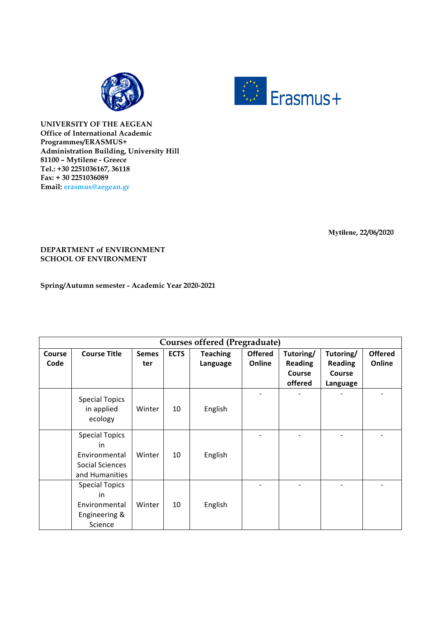



**UNIVERSITY OF THE AEGEAN Office of International Academic Programmes/ERASMUS+ Administration Building, University Hill 81100 – Mytilene - Greece Tel.: +30 2251036167, 36118 Fax: + 30 2251036089 Email: erasmus@aegean.gr**

**Mytilene, 22/06/2020**

## **DEPARTMENT of ENVIRONMENT SCHOOL OF ENVIRONMENT**

**Spring/Autumn semester - Academic Year 2020-2021**

| Courses offered (Pregraduate) |                                                                                   |              |             |                 |                |                |                |                |
|-------------------------------|-----------------------------------------------------------------------------------|--------------|-------------|-----------------|----------------|----------------|----------------|----------------|
| <b>Course</b>                 | <b>Course Title</b>                                                               | <b>Semes</b> | <b>ECTS</b> | <b>Teaching</b> | <b>Offered</b> | Tutoring/      | Tutoring/      | <b>Offered</b> |
| Code                          |                                                                                   | ter          |             | Language        | Online         | <b>Reading</b> | <b>Reading</b> | Online         |
|                               |                                                                                   |              |             |                 |                | Course         | Course         |                |
|                               |                                                                                   |              |             |                 |                | offered        | Language       |                |
|                               | <b>Special Topics</b><br>in applied<br>ecology                                    | Winter       | 10          | English         |                |                |                |                |
|                               | <b>Special Topics</b><br>in<br>Environmental<br>Social Sciences<br>and Humanities | Winter       | 10          | English         |                |                |                |                |
|                               | <b>Special Topics</b><br>in<br>Environmental<br>Engineering &<br>Science          | Winter       | 10          | English         |                |                |                |                |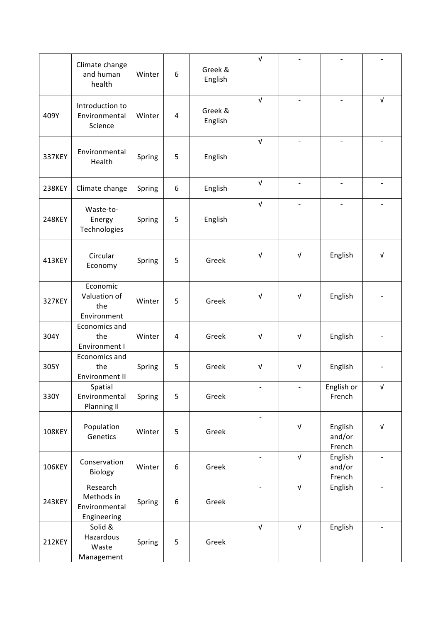|               | Climate change<br>and human<br>health                  | Winter | 6                | Greek &<br>English | $\sqrt{ }$               |                          |                             |                           |
|---------------|--------------------------------------------------------|--------|------------------|--------------------|--------------------------|--------------------------|-----------------------------|---------------------------|
| 409Y          | Introduction to<br>Environmental<br>Science            | Winter | 4                | Greek &<br>English | $\sqrt{ }$               | $\blacksquare$           | $\overline{\phantom{a}}$    | $\sqrt{ }$                |
| <b>337KEY</b> | Environmental<br>Health                                | Spring | 5                | English            | $\sqrt{ }$               |                          |                             |                           |
| <b>238KEY</b> | Climate change                                         | Spring | 6                | English            | $\sqrt{ }$               | $\overline{\phantom{a}}$ | $\overline{\phantom{a}}$    | $\overline{\phantom{a}}$  |
| <b>248KEY</b> | Waste-to-<br>Energy<br>Technologies                    | Spring | 5                | English            | $\sqrt{ }$               |                          |                             |                           |
| 413KEY        | Circular<br>Economy                                    | Spring | 5                | Greek              | $\sqrt{ }$               | $\sqrt{ }$               | English                     | $\sqrt{ }$                |
| <b>327KEY</b> | Economic<br>Valuation of<br>the<br>Environment         | Winter | 5                | Greek              | $\sqrt{ }$               | $\sqrt{ }$               | English                     |                           |
| 304Y          | Economics and<br>the<br>Environment I                  | Winter | 4                | Greek              | $\sqrt{ }$               | $\sqrt{ }$               | English                     |                           |
| 305Y          | Economics and<br>the<br>Environment II                 | Spring | 5                | Greek              | $\sqrt{ }$               | $\sqrt{ }$               | English                     |                           |
| 330Y          | Spatial<br>Environmental<br>Planning II                | Spring | 5                | Greek              | $\overline{\phantom{a}}$ |                          | English or<br>French        | $\sqrt{ }$                |
| <b>108KEY</b> | Population<br>Genetics                                 | Winter | 5                | Greek              | $\blacksquare$           | $\sqrt{ }$               | English<br>and/or<br>French | $\ensuremath{\mathsf{V}}$ |
| 106KEY        | Conservation<br>Biology                                | Winter | $\boldsymbol{6}$ | Greek              |                          | $\sqrt{ }$               | English<br>and/or<br>French |                           |
| <b>243KEY</b> | Research<br>Methods in<br>Environmental<br>Engineering | Spring | 6                | Greek              |                          | $\sqrt{ }$               | English                     |                           |
| 212KEY        | Solid &<br>Hazardous<br>Waste<br>Management            | Spring | 5                | Greek              | $\sqrt{ }$               | $\sqrt{ }$               | English                     |                           |